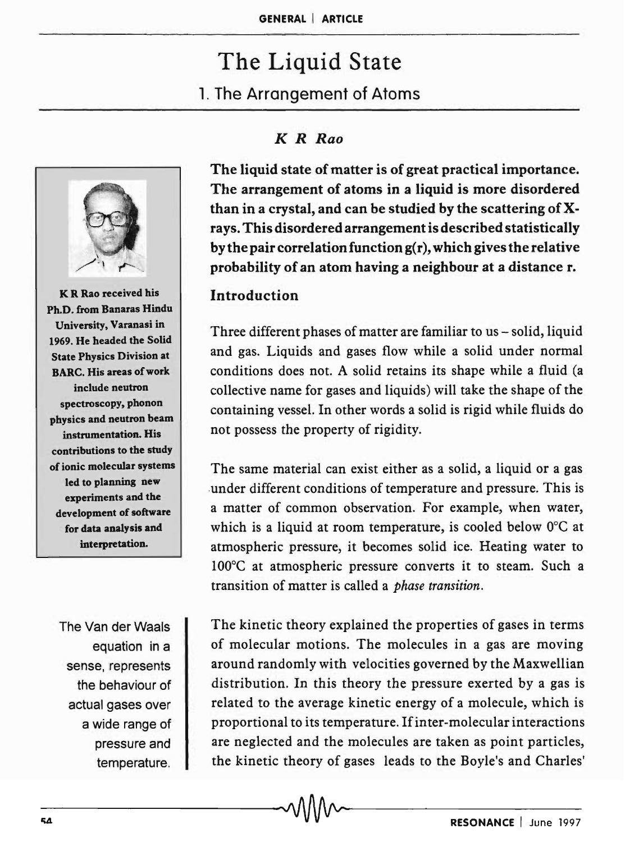# The Liquid State 1. The Arrangement of Atoms



K R Rao received his Ph.D. from Banaras Hindu University, Varanasi in 1969. He headed the Solid State Physics Division at BARC. His areas of work include neutron spectroscopy, phonon physics and neutron beam instrumentation. His contributions to the study of ionic molecular systems led to planning new experiments and the development of software for data analysis and interpretation.

The Van der Waals equation in a sense, represents the behaviour of actual gases over a wide range of pressure and temperature.

## *K R Rao*

The liquid state of matter is of great practical importance. The arrangement of atoms in a liquid is more disordered than in a crystal, and can be studied by the scattering of Xrays. This disordered arrangement is described statistically by the pair correlation function g(r), which gives the relative probability of an atom having a neighbour at a distance r.

## Introduction

Three different phases of matter are familiar to us - solid, liquid and gas. Liquids and gases flow while a solid under normal conditions does not. A solid retains its shape while a fluid (a collective name for gases and liquids) will take the shape of the containing vessel. In other words a solid is rigid while fluids do not possess the property of rigidity.

The same material can exist either as a solid, a liquid or a gas .under different conditions of temperature and pressure. This is a matter of common observation. For example, when water, which is a liquid at room temperature, is cooled below O°C at atmospheric pressure, it becomes solid ice. Heating water to 100°C at atmospheric pressure converts it to steam. Such a transition of matter is called a *phase transition.* 

The kinetic theory explained the properties of gases in terms of molecular motions. The molecules in a gas are moving around randomly with velocities governed by the Maxwellian distribution. In this theory the pressure exerted by a gas is related to the average kinetic energy of a molecule, which is proportional to its temperature. If inter-molecular interactions are neglected and the molecules are taken as point particles, the kinetic theory of gases leads to the Boyle'S and Charles'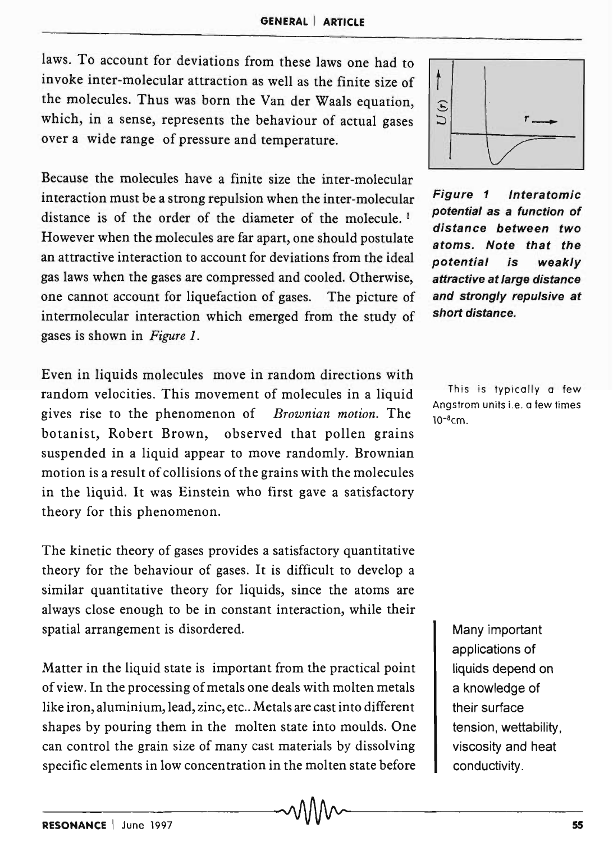laws. To account for deviations from these laws one had to invoke inter-molecular attraction as well as the finite size of the molecules. Thus was born the Van der Waals equation, which, in a sense, represents the behaviour of actual gases over a wide range of pressure and temperature.

Because the molecules have a finite size the inter-molecular interaction must be a strong repulsion when the inter-molecular distance is of the order of the diameter of the molecule.<sup>1</sup> However when the molecules are far apart, one should postulate an attractive interaction to account for deviations from the ideal gas laws when the gases are compressed and cooled. Otherwise, one cannot account for liquefaction of gases. The picture of intermolecular interaction which emerged from the study of gases is shown in *Figure 1.* 

Even in liquids molecules move in random directions with random velocities. This movement of molecules in a liquid gives rise to the phenomenon of *Brownian motion.* The botanist, Robert Brown, observed that pollen grains suspended in a liquid appear to move randomly. Brownian motion is a result of collisions of the grains with the molecules in the liquid. It was Einstein who first gave a satisfactory theory for this phenomenon.

The kinetic theory of gases provides a satisfactory quantitative theory for the behaviour of gases. It is difficult to develop a similar quantitative theory for liquids, since the atoms are always close enough to be in constant interaction, while their spatial arrangement is disordered.

Matter in the liquid state is important from the practical point of view. In the processing of metals one deals with molten metals like iron, aluminium, lead, zinc, etc .. Metals are cast into different shapes by pouring them in the molten state into moulds. One can control the grain size of many cast materials by dissolving specific elements in low concentration in the molten state before



Figure 1 Interatomic potential as a function of distance between two atoms. Note that the potential is weakly attractive at large distance and strongly repulsive at short distance.

This is typically a few Angstrom units i.e. a few times  $10^{-8}$ cm

> Many important applications of liquids depend on a knowledge of their surface tension, wettability, viscosity and heat conductivity .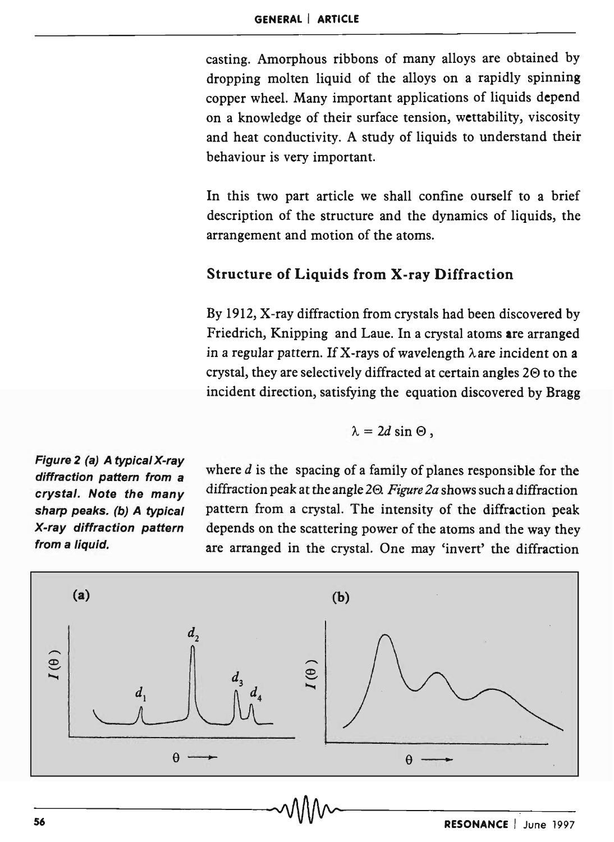casting. Amorphous ribbons of many alloys are obtained by dropping molten liquid of the alloys on a rapidly spinning copper wheel. Many important applications of liquids depend on a knowledge of their surface tension, wettability, viscosity and heat conductivity. A study of liquids to understand their behaviour is very important.

In this two part article we shall confine ourself to a brief description of the structure and the dynamics of liquids, the arrangement and motion of the atoms.

#### Structure of Liquids from X-ray Diffraction

By 1912, X-ray diffraction from crystals had been discovered by Friedrich, Knipping and Laue. In a crystal atoms are arranged in a regular pattern. If X-rays of wavelength  $\lambda$  are incident on a crystal, they are selectively diffracted at certain angles  $2\Theta$  to the incident direction, satisfying the equation discovered by Bragg

$$
\lambda=2d\sin\Theta,
$$

Figure 2 (a) A typical X-ray diffraction pattern from a crystal. Note the many sharp peaks. (b) A typical X-ray diffraction pattern from a liquid.

where *d* is the spacing of a family of planes responsible for the diffraction peak at the angle 20. *Figure 2a* shows such a diffraction pattern from a crystal. The intensity of the diffraction peak depends on the scattering power of the atoms and the way they are arranged in the crystal. One may 'invert' the diffraction

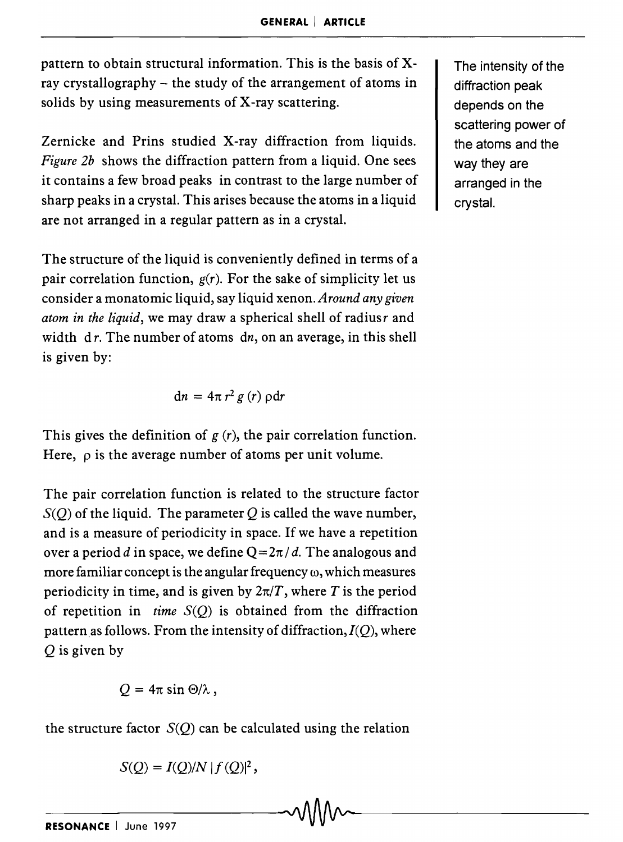pattern to obtain structural information. This is the basis of Xray crystallography – the study of the arrangement of atoms in solids by using measurements of X-ray scattering.

Zernicke and Prins studied X-ray diffraction from liquids. *Figure 2b* shows the diffraction pattern from a liquid. One sees it contains a few broad peaks in contrast to the large number of sharp peaks in a crystal. This arises because the atoms in a liquid are not arranged in a regular pattern as in a crystal.

The structure of the liquid is conveniently defined in terms of a pair correlation function,  $g(r)$ . For the sake of simplicity let us consider a monatomic liquid, say liquid xenon. *Around any given atom in the liquid*, we may draw a spherical shell of radiusr and width  $dr$ . The number of atoms  $dr$ , on an average, in this shell is given by:

$$
dn = 4\pi r^2 g(r) \rho dr
$$

This gives the definition of  $g(r)$ , the pair correlation function. Here,  $\rho$  is the average number of atoms per unit volume.

The pair correlation function is related to the structure factor  $S(Q)$  of the liquid. The parameter Q is called the wave number, and is a measure of periodicity in space. If we have a repetition over a period *d* in space, we define  $Q = 2\pi/d$ . The analogous and more familiar concept is the angular frequency  $\omega$ , which measures periodicity in time, and is given by  $2\pi/T$ , where T is the period of repetition in *time*  $S(Q)$  is obtained from the diffraction pattern as follows. From the intensity of diffraction,  $I(Q)$ , where Q is given by

$$
Q=4\pi\sin\Theta/\lambda\,,
$$

the structure factor  $S(Q)$  can be calculated using the relation

$$
S(Q) = I(Q)/N |f(Q)|^2,
$$

The intensity of the diffraction peak depends on the scattering power of the atoms and the way they are arranged in the crystal.

 $-\text{c}$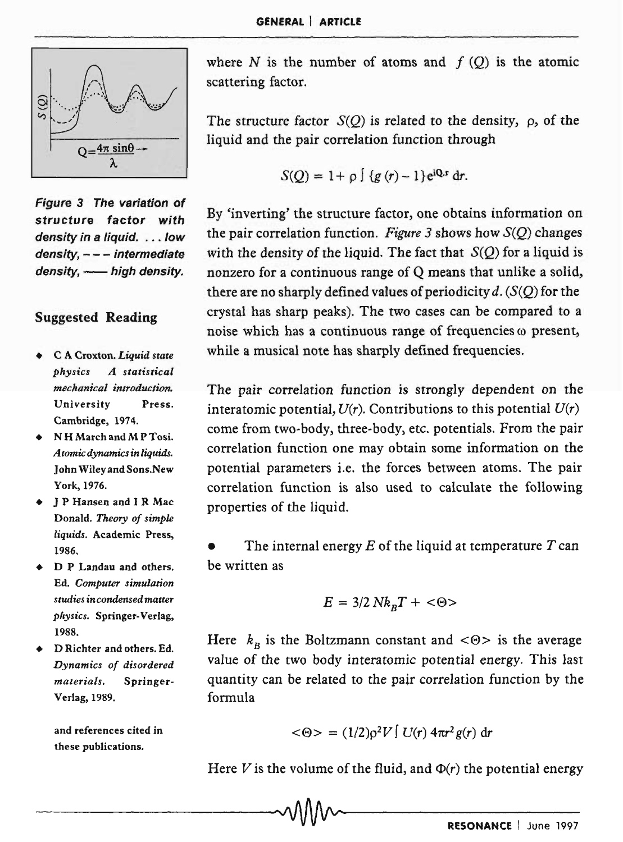

Figure 3 The variation of structure factor with density in a liquid. . . . low density, - - - intermediate density, - high density.

#### Suggested Reading

- C A Croxton. *Liquid state physics A statistical mechanical introduction.*  University Press. Cambridge, 1974.
- N H March and M P Tosi. *Atomic dynamics in liquids.*  John Wiley and Sons.New York, 1976.
- J P Hansen and I R Mac Donald. *Theory of simple liquids.* Academic Press, 1986.
- D P Landau and others. Ed. *Computer simulation studies in condensed matter physics.* Springer-Verlag, 1988.
- D Richter and others. Ed. *Dynamics of disordered materials.* Springer-Verlag, 1989.

and references cited in these publications.

where  $N$  is the number of atoms and  $f(Q)$  is the atomic scattering factor.

The structure factor  $S(O)$  is related to the density,  $\rho$ , of the liquid and the pair correlation function through

$$
S(Q) = 1 + \rho \int \{g(r) - 1\} e^{i\mathbf{Q} \cdot \mathbf{r}} dr.
$$

By 'inverting' the structure factor, one obtains information on the pair correlation function. *Figure* 3 shows how S(Q) changes with the density of the liquid. The fact that  $S(Q)$  for a liquid is nonzero for a continuous range of Q means that unlike a solid, there are no sharply defined values of periodicity d.  $(S(Q))$  for the crystal has sharp peaks). The two cases can be compared to a noise which has a continuous range of frequencies  $\omega$  present, while a musical note has sharply defined frequencies.

The pair correlation function *is* strongly dependent on the interatomic potential,  $U(r)$ . Contributions to this potential  $U(r)$ come from two-body, three-body, etc. potentials. From the pair correlation function one may obtain some information on the potential parameters i.e. the forces between atoms. The pair correlation function is also used to calculate the following properties of the liquid.

• The internal energy *E* of the liquid at temperature *T* can be written as

$$
E = 3/2 N k_{B} T + \langle \Theta \rangle
$$

Here  $k_B$  is the Boltzmann constant and  $\langle \Theta \rangle$  is the average value of the two body interatomic potential energy. This last quantity can be related to the pair correlation function by the formula

$$
\langle \Theta \rangle = (1/2) \rho^2 V \int U(r) 4\pi r^2 g(r) dr
$$

Here V is the volume of the fluid, and  $\Phi(r)$  the potential energy